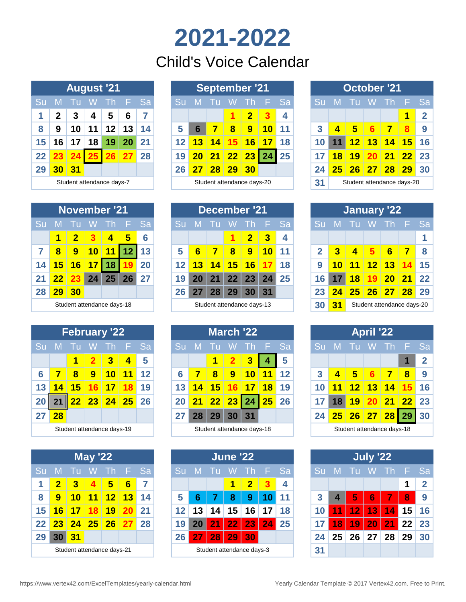# **2021-2022** Child's Voice Calendar

|         |             |            | <b>August '21</b> |                           |                     |    |
|---------|-------------|------------|-------------------|---------------------------|---------------------|----|
| Su      | M           | Tu         |                   | W Th                      | $\sqrt{\mathsf{F}}$ | Sa |
| 1       | $\mathbf 2$ | -3         | 4                 | - 5                       | 6                   | 7  |
| 8       | 9           |            |                   | 10 11 12 13               |                     | 14 |
| 15      | 16          |            | 17   18           | 19 <sup>1</sup>           | <b>20</b>           | 21 |
| $22 \,$ |             |            |                   | 23 24 25 26 27 28         |                     |    |
| 29      | 30          | $\vert 31$ |                   |                           |                     |    |
|         |             |            |                   | Student attendance days-7 |                     |    |

|                   |    |     | <b>August '21</b>         |     |           |           |                 |                 |    | <b>September '21</b>       |                         |                 |           |           |    |                 |                 | <b>October '21</b>         |         |                   |
|-------------------|----|-----|---------------------------|-----|-----------|-----------|-----------------|-----------------|----|----------------------------|-------------------------|-----------------|-----------|-----------|----|-----------------|-----------------|----------------------------|---------|-------------------|
|                   | M  |     | - W                       | -Th |           | <b>Sa</b> |                 | M               |    | w                          | -Th                     |                 | <b>Sa</b> | <b>Su</b> | M  |                 | - W             | $\blacksquare$             | F.      | -Sa               |
|                   | 2  | 3   | 4                         | 5   | 6         | 7         |                 |                 |    |                            | $\overline{\mathbf{2}}$ |                 | 4         |           |    |                 |                 |                            | 1       |                   |
| 8                 | 9  | 10  | 11                        | 12  | 13        | 14        | 5               | 6               |    | 8                          | 9                       | 10 <sup>1</sup> | 11        |           |    | 5               | 6               |                            | 8       | 9                 |
| 15                | 16 | 17  | 18                        | 19  | 20        | 21        | 12 <sub>1</sub> | 13              | 14 | 15                         | 16                      | 17              | 18        |           |    | 12 <sup>1</sup> | 13 <sup>1</sup> | $\overline{14}$            | $15$ 16 |                   |
| $22 \overline{)}$ | 23 | 24  | 25                        | 26  | <b>27</b> | 28        | 19              | 20              | 21 | 22                         | 23                      | 24              | 25        |           | 18 | 19              | 20              | 21                         | $22$ 23 |                   |
| 29                | 30 | -31 |                           |     |           |           | 26              | $\overline{27}$ | 28 | 29                         | 30                      |                 |           | 24        | 25 | 26              | 27              | 28                         | 29      | $\blacksquare$ 30 |
|                   |    |     | Student attendance days-7 |     |           |           |                 |                 |    | Student attendance days-20 |                         |                 |           | 31        |    |                 |                 | Student attendance days-20 |         |                   |

|    |           |     |     | <b>October '21</b>         |   |              |
|----|-----------|-----|-----|----------------------------|---|--------------|
| Su |           |     |     | M Tu W Th F                |   | Sa           |
|    |           |     |     |                            | 1 | $\mathbf{2}$ |
| 3  | 4         | - 5 | - 6 | $\blacksquare$             | 8 | 9            |
| 10 |           |     |     | 11 12 13 14 15             |   | <b>16</b>    |
| 17 | <b>18</b> |     |     | 19 20 21 22                |   | -23          |
| 24 |           |     |     | $25$ 26 27 28 29           | ı | 30           |
| 31 |           |     |     | Student attendance days-20 |   |              |

|                 | December '21               |    |                         |                |           |              |     | <b>January '22</b> |                 |                 |                            |    |
|-----------------|----------------------------|----|-------------------------|----------------|-----------|--------------|-----|--------------------|-----------------|-----------------|----------------------------|----|
| M               | AT Ur                      |    | Th                      |                | <b>Sa</b> | <b>Su</b>    | -M- | /Tu                | W.              | <b>AIT</b>      | - E .                      | Sa |
|                 |                            | 1  | $\overline{\mathbf{2}}$ | 3              | 4         |              |     |                    |                 |                 |                            | 1  |
| $6\phantom{1}$  | 7                          | 8  | 9                       | <b>10</b>      | 11        | $\mathbf{2}$ | 3   | 4                  | 5.              | $6\phantom{1}6$ | 7                          | 8  |
| 13              | 14                         | 15 | 16                      | 17             | 18        | 9            | 10  | 11                 | 12              | 13              | 14                         | 15 |
|                 |                            |    |                         | 20 21 22 23 24 | 25        | 16           | 17  | 18                 | 19 <sup>1</sup> | 20              | 21                         | 22 |
| 27 <sup>°</sup> | 28                         | 29 | 30                      | 31             |           | 23           | 24  | 25                 | 26              | 27              | 28                         | 29 |
|                 | Student attendance days-13 |    |                         |                |           | 30           | 31  |                    |                 |                 | Student attendance days-20 |    |

|              |                  |      | <b>April '22</b> |                            |   |                |
|--------------|------------------|------|------------------|----------------------------|---|----------------|
| Su           |                  |      |                  | M Tu W Th F                |   | Sa             |
|              |                  |      |                  |                            | 1 | $\overline{2}$ |
| $\mathbf{3}$ | $\blacktriangle$ | $-5$ | $\overline{6}$   | $\blacksquare$             | 8 | 9              |
| 10           |                  |      |                  | 11 12 13 14 15             |   | 16             |
| 17           |                  |      |                  | 18 19 20 21 22             |   | 23             |
| 24           |                  |      |                  | 25 26 27 28 29 30          |   |                |
|              |                  |      |                  | Student attendance days-18 |   |                |

|                 |                 | July '22 |                      |   |              |
|-----------------|-----------------|----------|----------------------|---|--------------|
|                 |                 |          | Su M Tu W Th F       |   | Sa           |
|                 |                 |          |                      | 1 | $\mathbf{2}$ |
| 3 <sup>1</sup>  | $\vert 4 \vert$ |          | 5 6 7 8              |   | 9            |
|                 |                 |          | 10 11 12 13 14 15 16 |   |              |
|                 |                 |          | 17 18 19 20 21 22 23 |   |              |
| 24 <sup>1</sup> |                 |          | 25 26 27 28 29 30    |   |              |
| 31              |                 |          |                      |   |              |

|     |          | November '21               |            |        |     |                 |
|-----|----------|----------------------------|------------|--------|-----|-----------------|
| 'Su | M Tu     |                            |            | W Th F |     | Sā              |
|     | 1        | $\overline{\mathbf{2}}$    | $3 \mid 4$ |        | - 5 | $6\phantom{a}6$ |
| 7   | -8       | 9   10   11   12   13      |            |        |     |                 |
|     |          | 14 15 16 17 18 19 20       |            |        |     |                 |
|     |          | 21 22 23 24 25 26 27       |            |        |     |                 |
|     | 28 29 30 |                            |            |        |     |                 |
|     |          | Student attendance days-18 |            |        |     |                 |

|    |    |      | <b>February '22</b>        |                 |                |                   |    |     |          | <b>March '22</b>       |     |
|----|----|------|----------------------------|-----------------|----------------|-------------------|----|-----|----------|------------------------|-----|
| Su | -M | LTu. | ⊟W.                        |                 | $Th - F$       | <b>Sa</b>         | Su | -M- | - Tu     | - W                    | Th. |
|    |    | 1    |                            | $2 \mid 3 \mid$ | $\overline{4}$ | 5                 |    |     | 1        | $\mathbf{2}$           |     |
| 6  |    |      | -9                         | 10              | 11             | $12 \overline{ }$ | 6  |     | $\bf{8}$ | 9                      |     |
| 13 | 14 |      | 15 16 17 18                |                 |                | 19                | 13 | 14  | $15$ 16  |                        |     |
| 20 |    |      | 22 23 24 25                |                 |                | <b>26</b>         | 20 |     | 21 22 23 |                        | 24  |
| 27 | 28 |      |                            |                 |                |                   | 27 | 28  | 29       | 30                     |     |
|    |    |      | Student attendance days-19 |                 |                |                   |    |     |          | Student attendance day |     |

|    |              |                                   | <b>May '22</b> |             |    |           |
|----|--------------|-----------------------------------|----------------|-------------|----|-----------|
| Su |              | M Tu W Th E                       |                |             |    | <b>Sa</b> |
| 1  | $\mathbf{2}$ | $\overline{\mathbf{3}}$           | 4              | 5           | -6 | 7         |
| 8  | $\mathbf{9}$ |                                   |                | 10 11 12 13 |    | -14       |
|    |              | 15 <mark>16 17 18 19 20</mark> 21 |                |             |    |           |
|    |              | 22 23 24 25 26 27 28              |                |             |    |           |
| 29 | 30           | 31                                |                |             |    |           |
|    |              | Student attendance days-21        |                |             |    |           |

|    |    |    | <b>November '21</b>        |      |     |           |                 |    |       |                   | <b>December '21</b>        |                 |           |              |    |    | January '22                |                 |     |           |
|----|----|----|----------------------------|------|-----|-----------|-----------------|----|-------|-------------------|----------------------------|-----------------|-----------|--------------|----|----|----------------------------|-----------------|-----|-----------|
|    | M  |    | W                          | -Th. | 457 | <b>Sa</b> |                 | M  | - I U | w                 | -Th.                       | - E 1           | <b>Sa</b> |              | M  |    |                            | <b>ATIV</b>     | 457 | <b>Sa</b> |
|    |    |    |                            | 4    | 5   | 6         |                 |    |       |                   | $\overline{\mathbf{2}}$    | З               | 4         |              |    |    |                            |                 |     |           |
| 7  | 8  | 9  | 10 <sup>1</sup>            |      |     | 13        | 5               | 6  |       | 8                 | 9                          | 10 <sup>1</sup> | -11       | $\mathbf{p}$ | 3  | 4  | 5                          | $6\phantom{1}6$ | 7   |           |
| 14 | 15 | 16 | 1                          | 18   |     | 20        | 12 <sub>1</sub> | 13 | 14    | 15 <sub>h</sub>   | 16                         |                 | 18        | 9            | 10 | 11 | 12 <sub>1</sub>            | 13              |     | 15        |
| 21 | 22 |    | 24                         | 25   | 26  | 27        | 19              | 20 | 21    | $22 \overline{ }$ | 23                         | 24              | 25        | 16           |    | 18 | 15                         | 20 <sub>1</sub> | 21  | 22        |
| 28 | 29 | 30 |                            |      |     |           | 26              | 27 | 28    | 29                | 30                         | 31              |           | 23           | 24 | 25 | 26                         | <b>27</b>       | 28  | 29        |
|    |    |    | Student attendance days-18 |      |     |           |                 |    |       |                   | Student attendance days-13 |                 |           | 30           | 31 |    | Student attendance days-20 |                 |     |           |

|    |    |    | <b>February '22</b>        |     |             |           |    |    |    |     | <b>March '22</b>           |    |           |           |    |    | <b>April '22</b>           |    |                 |             |
|----|----|----|----------------------------|-----|-------------|-----------|----|----|----|-----|----------------------------|----|-----------|-----------|----|----|----------------------------|----|-----------------|-------------|
| Su | M  |    | w                          | -Th |             | <b>Sa</b> |    | M  |    |     |                            |    | <b>Sa</b> | <b>Su</b> | M  |    |                            |    |                 | <b>Sa</b>   |
|    |    |    |                            | 3   | 4           | 5         |    |    |    | 2   | 3                          |    | 5         |           |    |    |                            |    |                 | $\mathbf 2$ |
| 6  |    | 8  | 9                          | 10  | <u> 11</u>  | 12        | 6  |    | 8  | 9   | 10 <sub>h</sub>            |    | 12        | 3         |    | 5  | 6                          |    | $\bf{8}$        | 9           |
| 13 | 4  | 15 | 16                         | 17  |             | 19        | 13 | 14 | 15 |     | 17                         | 18 | 19        |           |    | 12 | 13 <sup>°</sup>            | 14 |                 | 16          |
| 20 |    | 22 |                            |     | 23 24 25 26 |           | 20 | 21 | 22 | 231 | 24                         | 25 | 26        |           | 18 | 19 | 20                         | 21 | $\overline{22}$ | $\vert$ 23  |
| 27 | 28 |    |                            |     |             |           |    | 28 | 29 | 30  | 31                         |    |           | 24        | 25 | 26 | 27                         | 28 | 29              | 30          |
|    |    |    | Student attendance days-19 |     |             |           |    |    |    |     | Student attendance days-18 |    |           |           |    |    | Student attendance days-18 |    |                 |             |

|         |                         |    | <b>May '22</b>             |            |                 |      |
|---------|-------------------------|----|----------------------------|------------|-----------------|------|
| Su      | M                       |    | -W                         | <b>ATh</b> |                 | F Sa |
|         | $\overline{\mathbf{2}}$ | 3  | 4                          | 5          | $6\phantom{1}6$ | 7    |
| 8       | 9                       | 10 | <u> 11</u><br>٠            | 12         | $\overline{13}$ | 14   |
| 15      | 16                      | 17 |                            | 19         |                 | 21   |
| $22 \,$ | 23                      | 24 | 25                         | 26         |                 | 28   |
| 29      | 30                      | 31 |                            |            |                 |      |
|         |                         |    | Student attendance days-21 |            |                 |      |